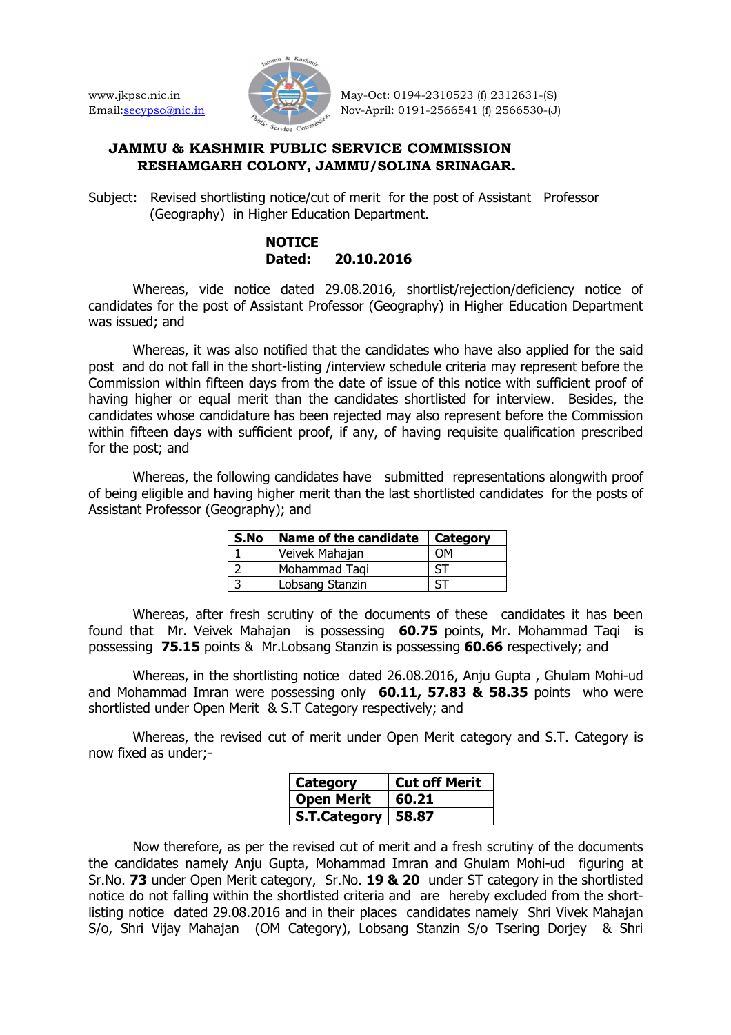

www.jkpsc.nic.in May-Oct: 0194-2310523 (f) 2312631-(S) Email:secypsc@nic.in Nov-April: 0191-2566541 (f) 2566530-(J)

## **JAMMU & KASHMIR PUBLIC SERVICE COMMISSION RESHAMGARH COLONY, JAMMU/SOLINA SRINAGAR.**

Subject: Revised shortlisting notice/cut of merit for the post of Assistant Professor (Geography) in Higher Education Department.

## **NOTICE Dated: 20.10.2016**

 Whereas, vide notice dated 29.08.2016, shortlist/rejection/deficiency notice of candidates for the post of Assistant Professor (Geography) in Higher Education Department was issued; and

 Whereas, it was also notified that the candidates who have also applied for the said post and do not fall in the short-listing /interview schedule criteria may represent before the Commission within fifteen days from the date of issue of this notice with sufficient proof of having higher or equal merit than the candidates shortlisted for interview. Besides, the candidates whose candidature has been rejected may also represent before the Commission within fifteen days with sufficient proof, if any, of having requisite qualification prescribed for the post; and

 Whereas, the following candidates have submitted representations alongwith proof of being eligible and having higher merit than the last shortlisted candidates for the posts of Assistant Professor (Geography); and

| S.No | Name of the candidate | Category |
|------|-----------------------|----------|
|      | Veivek Mahajan        | ωM       |
|      | Mohammad Tagi         |          |
|      | Lobsang Stanzin       |          |

Whereas, after fresh scrutiny of the documents of these candidates it has been found that Mr. Veivek Mahajan is possessing **60.75** points, Mr. Mohammad Taqi is possessing **75.15** points & Mr.Lobsang Stanzin is possessing **60.66** respectively; and

 Whereas, in the shortlisting notice dated 26.08.2016, Anju Gupta , Ghulam Mohi-ud and Mohammad Imran were possessing only **60.11, 57.83 & 58.35** points who were shortlisted under Open Merit & S.T Category respectively; and

 Whereas, the revised cut of merit under Open Merit category and S.T. Category is now fixed as under;-

| Category             | <b>Cut off Merit</b> |
|----------------------|----------------------|
| <b>Open Merit</b>    | 60.21                |
| S.T.Category   58.87 |                      |

 Now therefore, as per the revised cut of merit and a fresh scrutiny of the documents the candidates namely Anju Gupta, Mohammad Imran and Ghulam Mohi-ud figuring at Sr.No. **73** under Open Merit category, Sr.No. **19 & 20** under ST category in the shortlisted notice do not falling within the shortlisted criteria and are hereby excluded from the shortlisting notice dated 29.08.2016 and in their places candidates namely Shri Vivek Mahajan S/o, Shri Vijay Mahajan (OM Category), Lobsang Stanzin S/o Tsering Dorjey & Shri